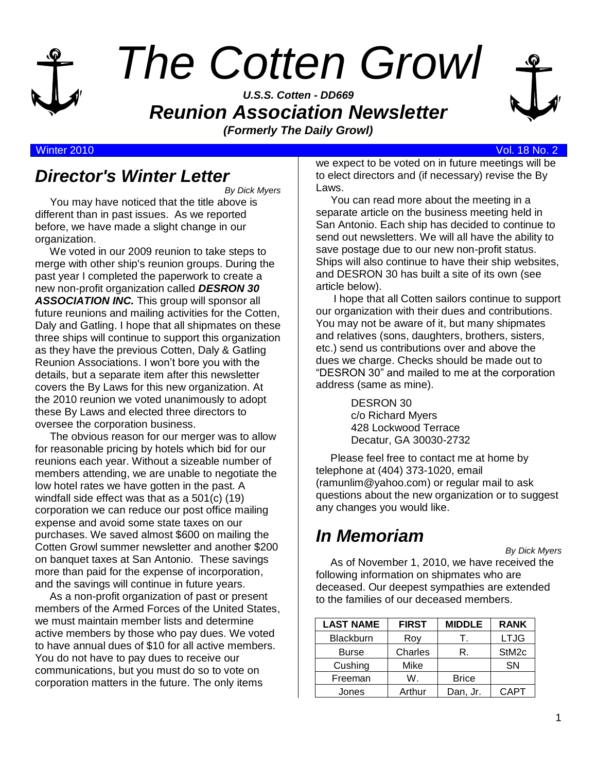

# *The Cotten Growl*

*U.S.S. Cotten - DD669 Reunion Association Newsletter (Formerly The Daily Growl)*



#### Winter 2010 Vol. 18 No. 2

#### *Director's Winter Letter*

*By Dick Myers*

 You may have noticed that the title above is different than in past issues. As we reported before, we have made a slight change in our organization.

 We voted in our 2009 reunion to take steps to merge with other ship's reunion groups. During the past year I completed the paperwork to create a new non-profit organization called *DESRON 30 ASSOCIATION INC.* This group will sponsor all future reunions and mailing activities for the Cotten, Daly and Gatling. I hope that all shipmates on these three ships will continue to support this organization as they have the previous Cotten, Daly & Gatling Reunion Associations. I won't bore you with the details, but a separate item after this newsletter covers the By Laws for this new organization. At the 2010 reunion we voted unanimously to adopt these By Laws and elected three directors to oversee the corporation business.

 The obvious reason for our merger was to allow for reasonable pricing by hotels which bid for our reunions each year. Without a sizeable number of members attending, we are unable to negotiate the low hotel rates we have gotten in the past. A windfall side effect was that as a 501(c) (19) corporation we can reduce our post office mailing expense and avoid some state taxes on our purchases. We saved almost \$600 on mailing the Cotten Growl summer newsletter and another \$200 on banquet taxes at San Antonio. These savings more than paid for the expense of incorporation, and the savings will continue in future years.

 As a non-profit organization of past or present members of the Armed Forces of the United States, we must maintain member lists and determine active members by those who pay dues. We voted to have annual dues of \$10 for all active members. You do not have to pay dues to receive our communications, but you must do so to vote on corporation matters in the future. The only items

we expect to be voted on in future meetings will be to elect directors and (if necessary) revise the By Laws.

 You can read more about the meeting in a separate article on the business meeting held in San Antonio. Each ship has decided to continue to send out newsletters. We will all have the ability to save postage due to our new non-profit status. Ships will also continue to have their ship websites, and DESRON 30 has built a site of its own (see article below).

 I hope that all Cotten sailors continue to support our organization with their dues and contributions. You may not be aware of it, but many shipmates and relatives (sons, daughters, brothers, sisters, etc.) send us contributions over and above the dues we charge. Checks should be made out to "DESRON 30" and mailed to me at the corporation address (same as mine).

> DESRON 30 c/o Richard Myers 428 Lockwood Terrace Decatur, GA 30030-2732

 Please feel free to contact me at home by telephone at (404) 373-1020, email (ramunlim@yahoo.com) or regular mail to ask questions about the new organization or to suggest any changes you would like.

# *In Memoriam*

*By Dick Myers*

 As of November 1, 2010, we have received the following information on shipmates who are deceased. Our deepest sympathies are extended to the families of our deceased members.

| <b>LAST NAME</b> | <b>FIRST</b> | <b>MIDDLE</b> | <b>RANK</b>       |
|------------------|--------------|---------------|-------------------|
| <b>Blackburn</b> | Roy          |               | <b>LTJG</b>       |
| <b>Burse</b>     | Charles      | R.            | StM <sub>2c</sub> |
| Cushing          | Mike         |               | <b>SN</b>         |
| Freeman          | W.           | <b>Brice</b>  |                   |
| Jones            | Arthur       | Dan, Jr.      | CAPT              |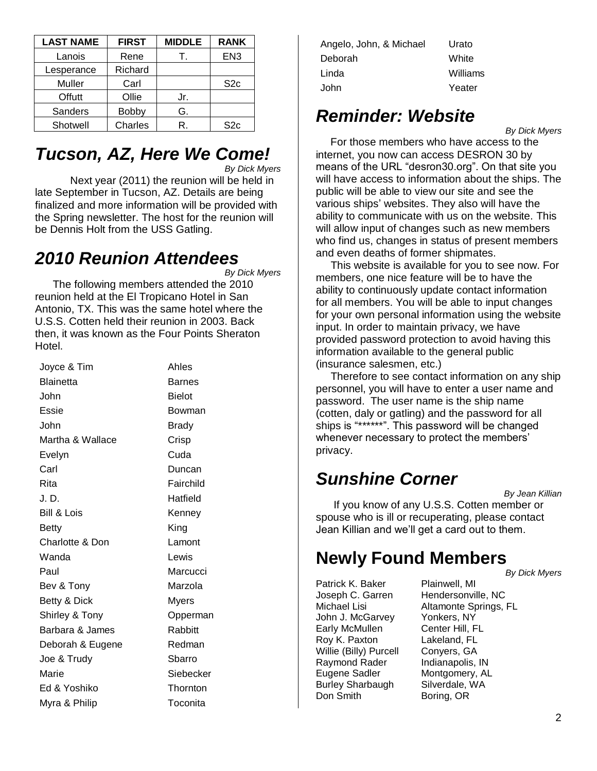| <b>LAST NAME</b> | <b>FIRST</b> | <b>MIDDLE</b> | <b>RANK</b>     |
|------------------|--------------|---------------|-----------------|
| Lanois           | Rene         |               | EN <sub>3</sub> |
| Lesperance       | Richard      |               |                 |
| Muller           | Carl         |               | S <sub>2c</sub> |
| Offutt           | Ollie        | Jr.           |                 |
| <b>Sanders</b>   | Bobby        | G.            |                 |
| Shotwell         | Charles      | R.            | S <sub>2c</sub> |

### *Tucson, AZ, Here We Come!*

*By Dick Myers*

Next year (2011) the reunion will be held in late September in Tucson, AZ. Details are being finalized and more information will be provided with the Spring newsletter. The host for the reunion will be Dennis Holt from the USS Gatling.

#### *2010 Reunion Attendees*

*By Dick Myers* 

 The following members attended the 2010 reunion held at the El Tropicano Hotel in San Antonio, TX. This was the same hotel where the U.S.S. Cotten held their reunion in 2003. Back then, it was known as the Four Points Sheraton Hotel.

| Joyce & Tim            | Ahles         |
|------------------------|---------------|
| <b>Blainetta</b>       | Barnes        |
| John                   | <b>Bielot</b> |
| Essie                  | Bowman        |
| John                   | Brady         |
| Martha & Wallace       | Crisp         |
| Evelyn                 | Cuda          |
| Carl                   | Duncan        |
| Rita                   | Fairchild     |
| J.D.                   | Hatfield      |
| <b>Bill &amp; Lois</b> | Kenney        |
| Betty                  | King          |
| Charlotte & Don        | Lamont        |
| Wanda                  | Lewis         |
| Paul                   | Marcucci      |
| Bev & Tony             | Marzola       |
| Betty & Dick           | <b>Myers</b>  |
| Shirley & Tony         | Opperman      |
| Barbara & James        | Rabbitt       |
| Deborah & Eugene       | Redman        |
| Joe & Trudy            | Sbarro        |
| Marie                  | Siebecker     |
| Ed & Yoshiko           | Thornton      |
| Myra & Philip          | Toconita      |

Angelo, John, & Michael Urato Deborah White Linda Williams John Yeater

## *Reminder: Website*

*By Dick Myers*

 For those members who have access to the internet, you now can access DESRON 30 by means of the URL "desron30.org". On that site you will have access to information about the ships. The public will be able to view our site and see the various ships' websites. They also will have the ability to communicate with us on the website. This will allow input of changes such as new members who find us, changes in status of present members and even deaths of former shipmates.

 This website is available for you to see now. For members, one nice feature will be to have the ability to continuously update contact information for all members. You will be able to input changes for your own personal information using the website input. In order to maintain privacy, we have provided password protection to avoid having this information available to the general public (insurance salesmen, etc.)

 Therefore to see contact information on any ship personnel, you will have to enter a user name and password. The user name is the ship name (cotten, daly or gatling) and the password for all ships is "\*\*\*\*\*\*". This password will be changed whenever necessary to protect the members' privacy.

# *Sunshine Corner*

*By Jean Killian*

 If you know of any U.S.S. Cotten member or spouse who is ill or recuperating, please contact Jean Killian and we'll get a card out to them.

#### **Newly Found Members** *By Dick Myers*

Patrick K. Baker Plainwell, MI John J. McGarvey Yonkers, NY Early McMullen Center Hill, FL Roy K. Paxton Lakeland, FL Willie (Billy) Purcell Conyers, GA Raymond Rader Indianapolis, IN Eugene Sadler Montgomery, AL Burley Sharbaugh Silverdale, WA Don Smith Boring, OR

Joseph C. Garren Hendersonville, NC Michael Lisi **Altamonte Springs, FL**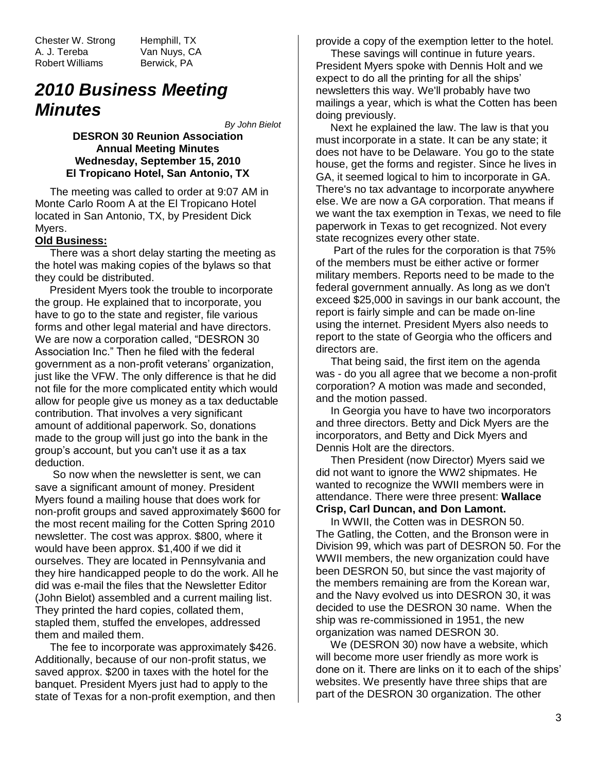Chester W. Strong Hemphill, TX A. J. Tereba Van Nuys, CA Robert Williams Berwick, PA

#### *2010 Business Meeting Minutes*

*By John Bielot*

**DESRON 30 Reunion Association Annual Meeting Minutes Wednesday, September 15, 2010 El Tropicano Hotel, San Antonio, TX**

 The meeting was called to order at 9:07 AM in Monte Carlo Room A at the El Tropicano Hotel located in San Antonio, TX, by President Dick Myers.

#### **Old Business:**

 There was a short delay starting the meeting as the hotel was making copies of the bylaws so that they could be distributed.

 President Myers took the trouble to incorporate the group. He explained that to incorporate, you have to go to the state and register, file various forms and other legal material and have directors. We are now a corporation called, "DESRON 30 Association Inc." Then he filed with the federal government as a non-profit veterans' organization, just like the VFW. The only difference is that he did not file for the more complicated entity which would allow for people give us money as a tax deductable contribution. That involves a very significant amount of additional paperwork. So, donations made to the group will just go into the bank in the group's account, but you can't use it as a tax deduction.

 So now when the newsletter is sent, we can save a significant amount of money. President Myers found a mailing house that does work for non-profit groups and saved approximately \$600 for the most recent mailing for the Cotten Spring 2010 newsletter. The cost was approx. \$800, where it would have been approx. \$1,400 if we did it ourselves. They are located in Pennsylvania and they hire handicapped people to do the work. All he did was e-mail the files that the Newsletter Editor (John Bielot) assembled and a current mailing list. They printed the hard copies, collated them, stapled them, stuffed the envelopes, addressed them and mailed them.

 The fee to incorporate was approximately \$426. Additionally, because of our non-profit status, we saved approx. \$200 in taxes with the hotel for the banquet. President Myers just had to apply to the state of Texas for a non-profit exemption, and then provide a copy of the exemption letter to the hotel.

 These savings will continue in future years. President Myers spoke with Dennis Holt and we expect to do all the printing for all the ships' newsletters this way. We'll probably have two mailings a year, which is what the Cotten has been doing previously.

 Next he explained the law. The law is that you must incorporate in a state. It can be any state; it does not have to be Delaware. You go to the state house, get the forms and register. Since he lives in GA, it seemed logical to him to incorporate in GA. There's no tax advantage to incorporate anywhere else. We are now a GA corporation. That means if we want the tax exemption in Texas, we need to file paperwork in Texas to get recognized. Not every state recognizes every other state.

 Part of the rules for the corporation is that 75% of the members must be either active or former military members. Reports need to be made to the federal government annually. As long as we don't exceed \$25,000 in savings in our bank account, the report is fairly simple and can be made on-line using the internet. President Myers also needs to report to the state of Georgia who the officers and directors are.

 That being said, the first item on the agenda was - do you all agree that we become a non-profit corporation? A motion was made and seconded, and the motion passed.

 In Georgia you have to have two incorporators and three directors. Betty and Dick Myers are the incorporators, and Betty and Dick Myers and Dennis Holt are the directors.

 Then President (now Director) Myers said we did not want to ignore the WW2 shipmates. He wanted to recognize the WWII members were in attendance. There were three present: **Wallace Crisp, Carl Duncan, and Don Lamont.**

 In WWII, the Cotten was in DESRON 50. The Gatling, the Cotten, and the Bronson were in Division 99, which was part of DESRON 50. For the WWII members, the new organization could have been DESRON 50, but since the vast majority of the members remaining are from the Korean war, and the Navy evolved us into DESRON 30, it was decided to use the DESRON 30 name. When the ship was re-commissioned in 1951, the new organization was named DESRON 30.

 We (DESRON 30) now have a website, which will become more user friendly as more work is done on it. There are links on it to each of the ships' websites. We presently have three ships that are part of the DESRON 30 organization. The other